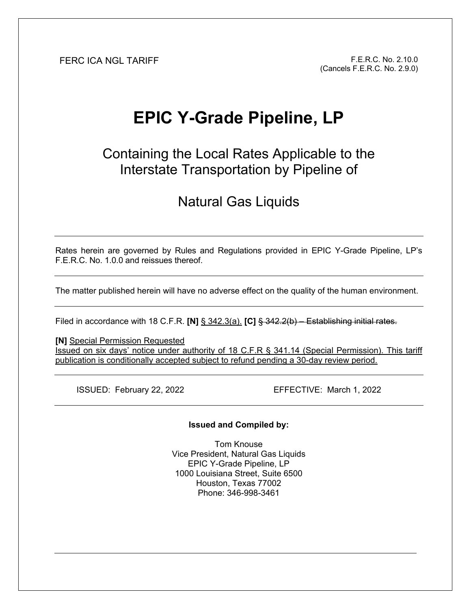FERC ICA NGL TARIFF F.E.R.C. No. 2.10.0 (Cancels F.E.R.C. No. 2.9.0)

# **EPIC Y-Grade Pipeline, LP**

Containing the Local Rates Applicable to the Interstate Transportation by Pipeline of

## Natural Gas Liquids

Rates herein are governed by Rules and Regulations provided in EPIC Y-Grade Pipeline, LP's F.E.R.C. No. 1.0.0 and reissues thereof.

The matter published herein will have no adverse effect on the quality of the human environment.

Filed in accordance with 18 C.F.R. **[N]** § 342.3(a). **[C]** § 342.2(b) – Establishing initial rates.

**[N]** Special Permission Requested Issued on six days' notice under authority of 18 C.F.R § 341.14 (Special Permission). This tariff publication is conditionally accepted subject to refund pending a 30-day review period.

ISSUED: February 22, 2022 EFFECTIVE: March 1, 2022

**Issued and Compiled by:** 

Tom Knouse Vice President, Natural Gas Liquids EPIC Y-Grade Pipeline, LP 1000 Louisiana Street, Suite 6500 Houston, Texas 77002 Phone: 346-998-3461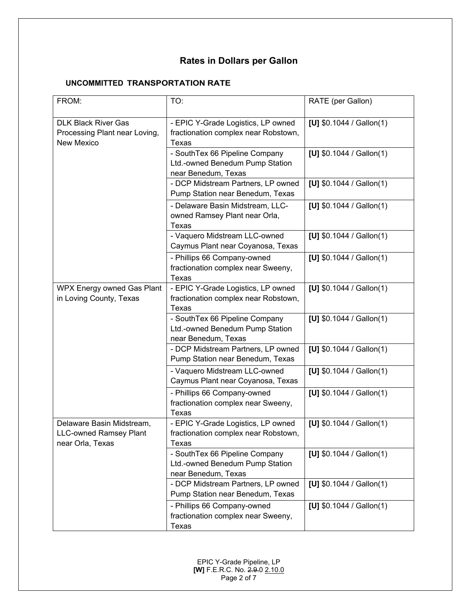### **Rates in Dollars per Gallon**

#### **UNCOMMITTED TRANSPORTATION RATE**

| FROM:                                                                          | TO:                                                                                      | RATE (per Gallon)         |
|--------------------------------------------------------------------------------|------------------------------------------------------------------------------------------|---------------------------|
| <b>DLK Black River Gas</b><br>Processing Plant near Loving,<br>New Mexico      | - EPIC Y-Grade Logistics, LP owned<br>fractionation complex near Robstown,<br>Texas      | [U] $$0.1044 /$ Gallon(1) |
|                                                                                | - SouthTex 66 Pipeline Company<br>Ltd.-owned Benedum Pump Station<br>near Benedum, Texas | [U] $$0.1044 /$ Gallon(1) |
|                                                                                | - DCP Midstream Partners, LP owned<br>Pump Station near Benedum, Texas                   | [U] $$0.1044 /$ Gallon(1) |
|                                                                                | - Delaware Basin Midstream, LLC-<br>owned Ramsey Plant near Orla,<br>Texas               | [U] $$0.1044 /$ Gallon(1) |
|                                                                                | - Vaquero Midstream LLC-owned<br>Caymus Plant near Coyanosa, Texas                       | [U] $$0.1044 /$ Gallon(1) |
|                                                                                | - Phillips 66 Company-owned<br>fractionation complex near Sweeny,<br>Texas               | [U] $$0.1044 /$ Gallon(1) |
| <b>WPX Energy owned Gas Plant</b><br>in Loving County, Texas                   | - EPIC Y-Grade Logistics, LP owned<br>fractionation complex near Robstown,<br>Texas      | [U] $$0.1044 /$ Gallon(1) |
|                                                                                | - SouthTex 66 Pipeline Company<br>Ltd.-owned Benedum Pump Station<br>near Benedum, Texas | [U] $$0.1044 /$ Gallon(1) |
|                                                                                | - DCP Midstream Partners, LP owned<br>Pump Station near Benedum, Texas                   | [U] $$0.1044 /$ Gallon(1) |
|                                                                                | - Vaquero Midstream LLC-owned<br>Caymus Plant near Coyanosa, Texas                       | [U] $$0.1044 /$ Gallon(1) |
|                                                                                | - Phillips 66 Company-owned<br>fractionation complex near Sweeny,<br>Texas               | [U] $$0.1044 /$ Gallon(1) |
| Delaware Basin Midstream,<br><b>LLC-owned Ramsey Plant</b><br>near Orla, Texas | - EPIC Y-Grade Logistics, LP owned<br>fractionation complex near Robstown,<br>Texas      | [U] $$0.1044 /$ Gallon(1) |
|                                                                                | - SouthTex 66 Pipeline Company<br>Ltd.-owned Benedum Pump Station<br>near Benedum, Texas | [U] $$0.1044 /$ Gallon(1) |
|                                                                                | - DCP Midstream Partners, LP owned<br>Pump Station near Benedum, Texas                   | [U] $$0.1044 /$ Gallon(1) |
|                                                                                | - Phillips 66 Company-owned<br>fractionation complex near Sweeny,<br>Texas               | [U] $$0.1044 /$ Gallon(1) |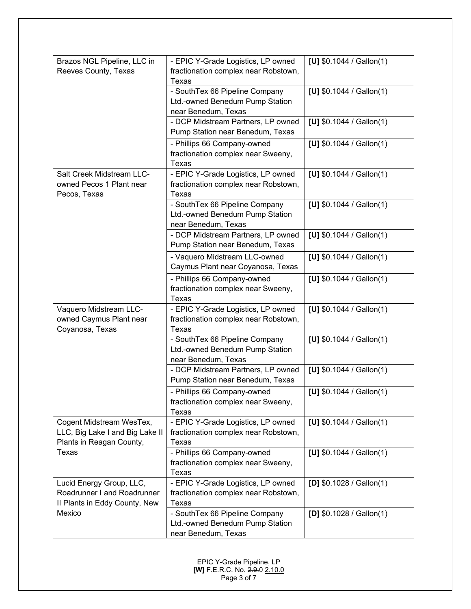| Brazos NGL Pipeline, LLC in                                                                      | - EPIC Y-Grade Logistics, LP owned                                                       | [U] $$0.1044 /$ Gallon(1) |
|--------------------------------------------------------------------------------------------------|------------------------------------------------------------------------------------------|---------------------------|
| Reeves County, Texas                                                                             | fractionation complex near Robstown,<br>Texas                                            |                           |
|                                                                                                  | - SouthTex 66 Pipeline Company<br>Ltd.-owned Benedum Pump Station<br>near Benedum, Texas | [U] $$0.1044 /$ Gallon(1) |
|                                                                                                  | - DCP Midstream Partners, LP owned<br>Pump Station near Benedum, Texas                   | [U] $$0.1044 /$ Gallon(1) |
|                                                                                                  | - Phillips 66 Company-owned<br>fractionation complex near Sweeny,<br>Texas               | [U] $$0.1044 /$ Gallon(1) |
| Salt Creek Midstream LLC-<br>owned Pecos 1 Plant near<br>Pecos, Texas                            | - EPIC Y-Grade Logistics, LP owned<br>fractionation complex near Robstown,<br>Texas      | [U] $$0.1044 /$ Gallon(1) |
|                                                                                                  | - SouthTex 66 Pipeline Company<br>Ltd.-owned Benedum Pump Station<br>near Benedum, Texas | [U] $$0.1044 /$ Gallon(1) |
|                                                                                                  | - DCP Midstream Partners, LP owned<br>Pump Station near Benedum, Texas                   | [U] $$0.1044 /$ Gallon(1) |
|                                                                                                  | - Vaquero Midstream LLC-owned<br>Caymus Plant near Coyanosa, Texas                       | [U] $$0.1044 /$ Gallon(1) |
|                                                                                                  | - Phillips 66 Company-owned<br>fractionation complex near Sweeny,<br>Texas               | [U] $$0.1044 /$ Gallon(1) |
| Vaquero Midstream LLC-<br>owned Caymus Plant near<br>Coyanosa, Texas                             | - EPIC Y-Grade Logistics, LP owned<br>fractionation complex near Robstown,<br>Texas      | [U] $$0.1044 /$ Gallon(1) |
|                                                                                                  | - SouthTex 66 Pipeline Company<br>Ltd.-owned Benedum Pump Station<br>near Benedum, Texas | [U] $$0.1044 /$ Gallon(1) |
|                                                                                                  | - DCP Midstream Partners, LP owned<br>Pump Station near Benedum, Texas                   | [U] $$0.1044 /$ Gallon(1) |
|                                                                                                  | - Phillips 66 Company-owned<br>fractionation complex near Sweeny,<br>Texas               | [U] $$0.1044 /$ Gallon(1) |
| Cogent Midstream WesTex,<br>LLC, Big Lake I and Big Lake II<br>Plants in Reagan County,<br>Texas | - EPIC Y-Grade Logistics, LP owned<br>fractionation complex near Robstown,<br>Texas      | [U] $$0.1044 /$ Gallon(1) |
|                                                                                                  | - Phillips 66 Company-owned<br>fractionation complex near Sweeny,<br>Texas               | [U] $$0.1044 /$ Gallon(1) |
| Lucid Energy Group, LLC,<br>Roadrunner I and Roadrunner<br>Il Plants in Eddy County, New         | - EPIC Y-Grade Logistics, LP owned<br>fractionation complex near Robstown,<br>Texas      | [D] $$0.1028 /$ Gallon(1) |
| Mexico                                                                                           | - SouthTex 66 Pipeline Company<br>Ltd.-owned Benedum Pump Station<br>near Benedum, Texas | [D] $$0.1028 /$ Gallon(1) |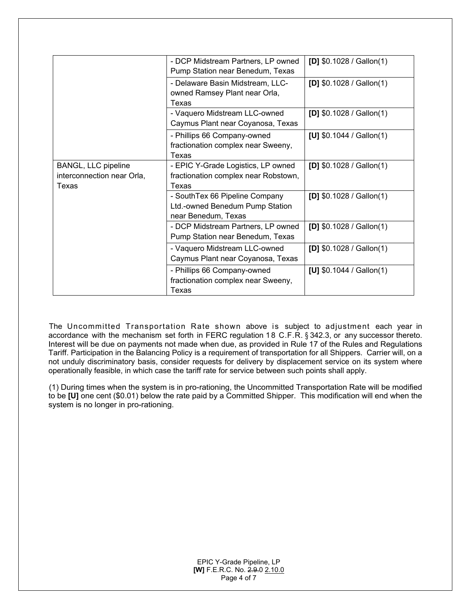|                                                            | - DCP Midstream Partners, LP owned<br>Pump Station near Benedum, Texas                   | [D] $$0.1028 /$ Gallon(1) |
|------------------------------------------------------------|------------------------------------------------------------------------------------------|---------------------------|
|                                                            | - Delaware Basin Midstream, LLC-<br>owned Ramsey Plant near Orla,<br>Texas               | [D] $$0.1028 /$ Gallon(1) |
|                                                            | - Vaquero Midstream LLC-owned<br>Caymus Plant near Coyanosa, Texas                       | [D] $$0.1028 /$ Gallon(1) |
|                                                            | - Phillips 66 Company-owned<br>fractionation complex near Sweeny,<br>Texas               | [U] $$0.1044 /$ Gallon(1) |
| BANGL, LLC pipeline<br>interconnection near Orla,<br>Texas | - EPIC Y-Grade Logistics, LP owned<br>fractionation complex near Robstown,<br>Texas      | [D] $$0.1028 /$ Gallon(1) |
|                                                            | - SouthTex 66 Pipeline Company<br>Ltd.-owned Benedum Pump Station<br>near Benedum, Texas | [D] $$0.1028 /$ Gallon(1) |
|                                                            | - DCP Midstream Partners, LP owned<br>Pump Station near Benedum, Texas                   | [D] $$0.1028 /$ Gallon(1) |
|                                                            | - Vaquero Midstream LLC-owned<br>Caymus Plant near Coyanosa, Texas                       | [D] $$0.1028 /$ Gallon(1) |
|                                                            | - Phillips 66 Company-owned<br>fractionation complex near Sweeny,<br>Texas               | [U] $$0.1044 /$ Gallon(1) |

The Uncommitted Transportation Rate shown above is subject to adjustment each year in accordance with the mechanism set forth in FERC regulation 1 8 C.F.R. § 342.3, or any successor thereto. Interest will be due on payments not made when due, as provided in Rule 17 of the Rules and Regulations Tariff. Participation in the Balancing Policy is a requirement of transportation for all Shippers. Carrier will, on a not unduly discriminatory basis, consider requests for delivery by displacement service on its system where operationally feasible, in which case the tariff rate for service between such points shall apply.

(1) During times when the system is in pro-rationing, the Uncommitted Transportation Rate will be modified to be **[U]** one cent (\$0.01) below the rate paid by a Committed Shipper. This modification will end when the system is no longer in pro-rationing.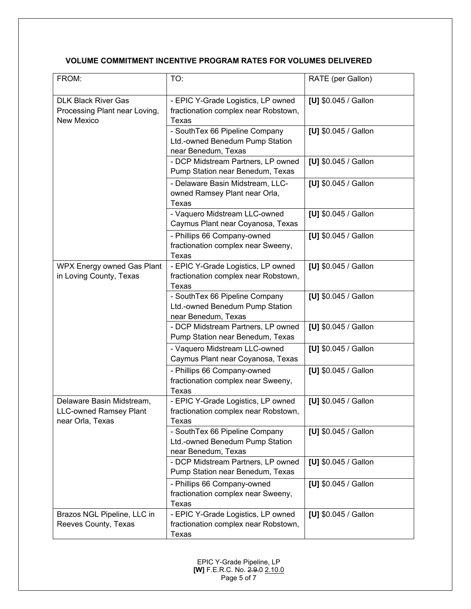#### **VOLUME COMMITMENT INCENTIVE PROGRAM RATES FOR VOLUMES DELIVERED**

| FROM:                                                                          | TO:                                                                                        | RATE (per Gallon)    |
|--------------------------------------------------------------------------------|--------------------------------------------------------------------------------------------|----------------------|
| <b>DLK Black River Gas</b><br>Processing Plant near Loving,<br>New Mexico      | - EPIC Y-Grade Logistics, LP owned<br>fractionation complex near Robstown,<br><b>Texas</b> | [U] \$0.045 / Gallon |
|                                                                                | - SouthTex 66 Pipeline Company<br>Ltd.-owned Benedum Pump Station<br>near Benedum, Texas   | [U] \$0.045 / Gallon |
|                                                                                | - DCP Midstream Partners, LP owned<br>Pump Station near Benedum, Texas                     | [U] \$0.045 / Gallon |
|                                                                                | - Delaware Basin Midstream, LLC-<br>owned Ramsey Plant near Orla,<br>Texas                 | [U] \$0.045 / Gallon |
|                                                                                | - Vaquero Midstream LLC-owned<br>Caymus Plant near Coyanosa, Texas                         | [U] \$0.045 / Gallon |
|                                                                                | - Phillips 66 Company-owned<br>fractionation complex near Sweeny,<br>Texas                 | [U] \$0.045 / Gallon |
| WPX Energy owned Gas Plant<br>in Loving County, Texas                          | - EPIC Y-Grade Logistics, LP owned<br>fractionation complex near Robstown,<br><b>Texas</b> | [U] \$0.045 / Gallon |
|                                                                                | - SouthTex 66 Pipeline Company<br>Ltd.-owned Benedum Pump Station<br>near Benedum, Texas   | [U] \$0.045 / Gallon |
|                                                                                | - DCP Midstream Partners, LP owned<br>Pump Station near Benedum, Texas                     | [U] \$0.045 / Gallon |
|                                                                                | - Vaquero Midstream LLC-owned<br>Caymus Plant near Coyanosa, Texas                         | [U] \$0.045 / Gallon |
|                                                                                | - Phillips 66 Company-owned<br>fractionation complex near Sweeny,<br>Texas                 | [U] \$0.045 / Gallon |
| Delaware Basin Midstream,<br><b>LLC-owned Ramsey Plant</b><br>near Orla, Texas | - EPIC Y-Grade Logistics, LP owned<br>fractionation complex near Robstown,<br>Texas        | [U] \$0.045 / Gallon |
|                                                                                | - SouthTex 66 Pipeline Company<br>Ltd.-owned Benedum Pump Station<br>near Benedum, Texas   | [U] \$0.045 / Gallon |
|                                                                                | - DCP Midstream Partners, LP owned<br>Pump Station near Benedum, Texas                     | [U] \$0.045 / Gallon |
|                                                                                | - Phillips 66 Company-owned<br>fractionation complex near Sweeny,<br>Texas                 | [U] \$0.045 / Gallon |
| Brazos NGL Pipeline, LLC in<br>Reeves County, Texas                            | - EPIC Y-Grade Logistics, LP owned<br>fractionation complex near Robstown,<br>Texas        | [U] \$0.045 / Gallon |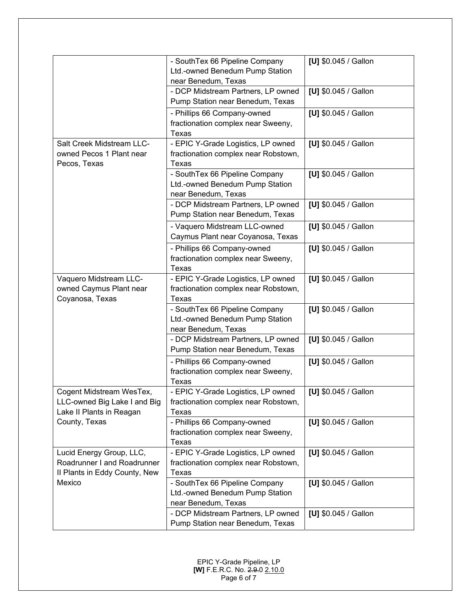|                                                                                          | - SouthTex 66 Pipeline Company<br>Ltd.-owned Benedum Pump Station<br>near Benedum, Texas | [U] \$0.045 / Gallon |
|------------------------------------------------------------------------------------------|------------------------------------------------------------------------------------------|----------------------|
|                                                                                          | - DCP Midstream Partners, LP owned<br>Pump Station near Benedum, Texas                   | [U] \$0.045 / Gallon |
|                                                                                          | - Phillips 66 Company-owned<br>fractionation complex near Sweeny,<br><b>Texas</b>        | [U] \$0.045 / Gallon |
| Salt Creek Midstream LLC-<br>owned Pecos 1 Plant near<br>Pecos, Texas                    | - EPIC Y-Grade Logistics, LP owned<br>fractionation complex near Robstown,<br>Texas      | [U] \$0.045 / Gallon |
|                                                                                          | - SouthTex 66 Pipeline Company<br>Ltd.-owned Benedum Pump Station<br>near Benedum, Texas | [U] \$0.045 / Gallon |
|                                                                                          | - DCP Midstream Partners, LP owned<br>Pump Station near Benedum, Texas                   | [U] \$0.045 / Gallon |
|                                                                                          | - Vaquero Midstream LLC-owned<br>Caymus Plant near Coyanosa, Texas                       | [U] \$0.045 / Gallon |
|                                                                                          | - Phillips 66 Company-owned<br>fractionation complex near Sweeny,<br><b>Texas</b>        | [U] \$0.045 / Gallon |
| Vaquero Midstream LLC-<br>owned Caymus Plant near<br>Coyanosa, Texas                     | - EPIC Y-Grade Logistics, LP owned<br>fractionation complex near Robstown,<br>Texas      | [U] \$0.045 / Gallon |
|                                                                                          | - SouthTex 66 Pipeline Company<br>Ltd.-owned Benedum Pump Station<br>near Benedum, Texas | [U] \$0.045 / Gallon |
|                                                                                          | - DCP Midstream Partners, LP owned<br>Pump Station near Benedum, Texas                   | [U] \$0.045 / Gallon |
|                                                                                          | - Phillips 66 Company-owned<br>fractionation complex near Sweeny,<br>Texas               | [U] \$0.045 / Gallon |
| Cogent Midstream WesTex,<br>LLC-owned Big Lake I and Big<br>Lake II Plants in Reagan     | - EPIC Y-Grade Logistics, LP owned<br>fractionation complex near Robstown,<br>Texas      | [U] \$0.045 / Gallon |
| County, Texas                                                                            | - Phillips 66 Company-owned<br>fractionation complex near Sweeny,<br><b>Texas</b>        | [U] \$0.045 / Gallon |
| Lucid Energy Group, LLC,<br>Roadrunner I and Roadrunner<br>Il Plants in Eddy County, New | - EPIC Y-Grade Logistics, LP owned<br>fractionation complex near Robstown,<br>Texas      | [U] \$0.045 / Gallon |
| Mexico                                                                                   | - SouthTex 66 Pipeline Company<br>Ltd.-owned Benedum Pump Station<br>near Benedum, Texas | [U] \$0.045 / Gallon |
|                                                                                          | - DCP Midstream Partners, LP owned<br>Pump Station near Benedum, Texas                   | [U] \$0.045 / Gallon |